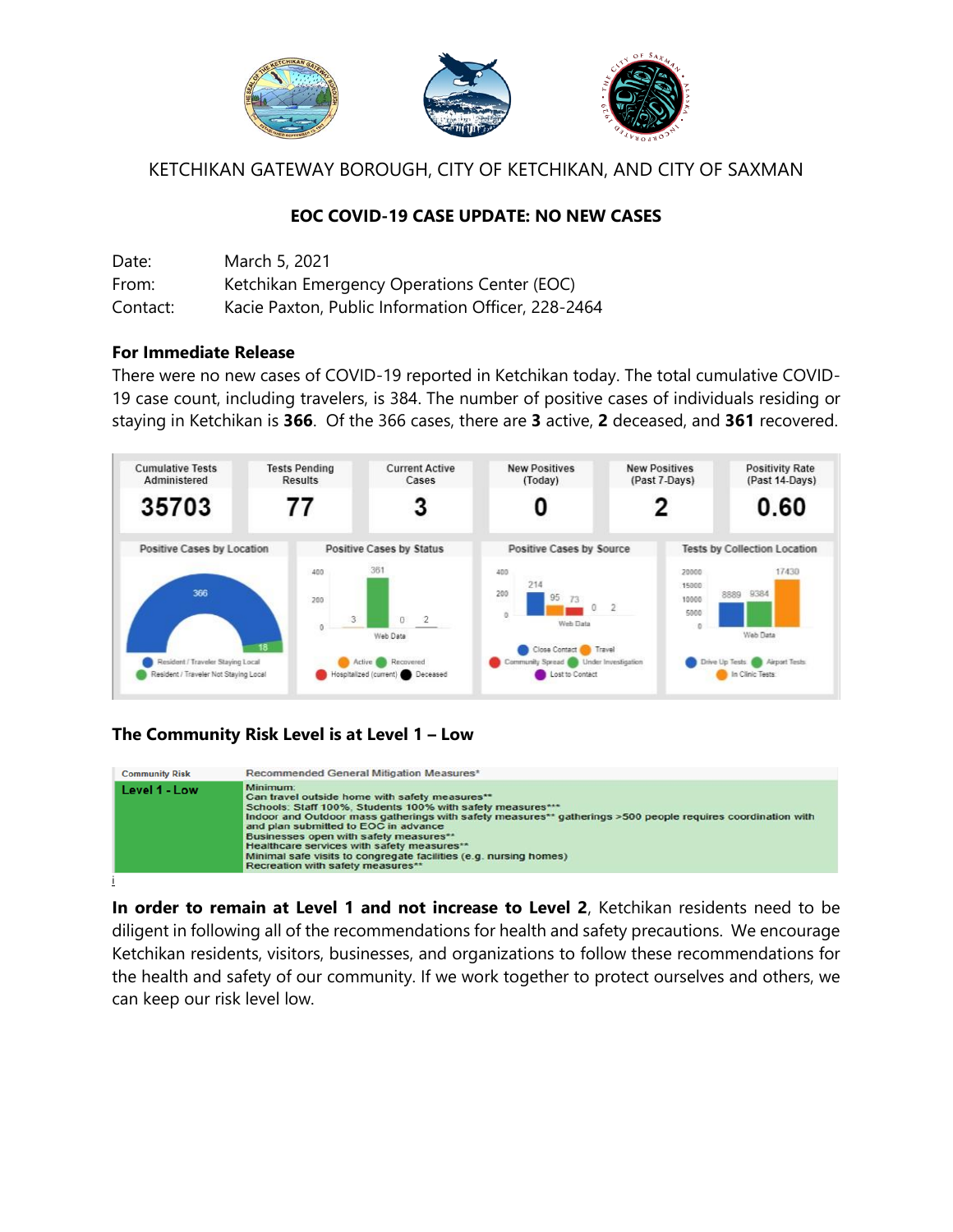

KETCHIKAN GATEWAY BOROUGH, CITY OF KETCHIKAN, AND CITY OF SAXMAN

## **EOC COVID-19 CASE UPDATE: NO NEW CASES**

| Date:    | March 5, 2021                                      |
|----------|----------------------------------------------------|
| From:    | Ketchikan Emergency Operations Center (EOC)        |
| Contact: | Kacie Paxton, Public Information Officer, 228-2464 |

### **For Immediate Release**

There were no new cases of COVID-19 reported in Ketchikan today. The total cumulative COVID-19 case count, including travelers, is 384. The number of positive cases of individuals residing or staying in Ketchikan is **366**. Of the 366 cases, there are **3** active, **2** deceased, and **361** recovered.



# **The Community Risk Level is at Level 1 – Low**



**In order to remain at Level 1 and not increase to Level 2**, Ketchikan residents need to be diligent in following all of the recommendations for health and safety precautions. We encourage Ketchikan residents, visitors, businesses, and organizations to follow these recommendations for the health and safety of our community. If we work together to protect ourselves and others, we can keep our risk level low.